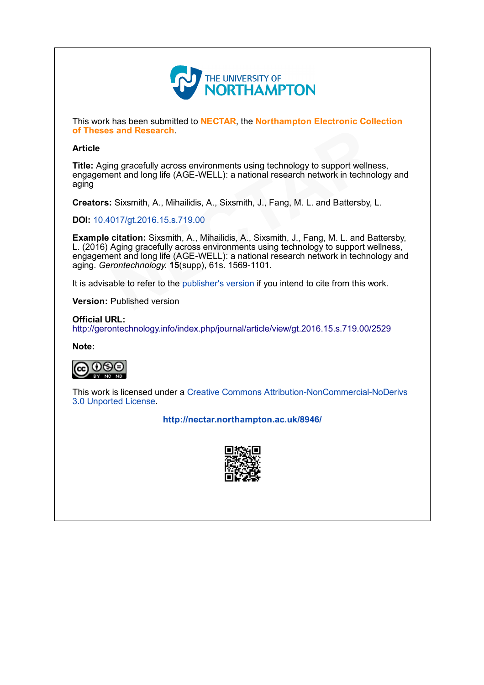

This work has been submitted to NECTAR, the Northampton Electronic Collection of Theses and Research.

## Article

Title: Aging gracefully across environments using technology to support wellness, engagement and long life (AGE-WELL): a national research network in technology and aging

Creators: Sixsmith, A., Mihailidis, A., Sixsmith, J., Fang, M. L. and Battersby, L.

DOI: [10.4017/gt.2016.15.s.719.00](http://dx.doi.org/10.4017/gt.2016.15.s.719.00)

Example citation: Sixsmith, A., Mihailidis, A., Sixsmith, J., Fang, M. L. and Battersby, L. (2016) Aging gracefully across environments using technology to support wellness, engagement and long life (AGE-WELL): a national research network in technology and aging. Gerontechnology. 15(supp), 61s. 1569-1101. **s and Research**.<br>
In g gracefully across environments using technology to support wellnes<br>
ent and long life (AG[E](http://dx.doi.org/10.4017/gt.2016.15.s.719.00)-WELL): a national research network in technol<br>
1. Sixsmith, A., Mihailidis, A., Sixsmith, J., Fang, M. L. a

It is advisable to refer to the publisher's version if you intend to cite from this work.

Version: Published version

Official URL: <http://gerontechnology.info/index.php/journal/article/view/gt.2016.15.s.719.00/2529>

[Note:](http://creativecommons.org/licenses/by-nc-nd/3.0/)



This work is licensed under a Creative Commons Attribution-NonCommercial-NoDerivs 3.0 Unported License.

<http://nectar.northampton.ac.uk/8946/>